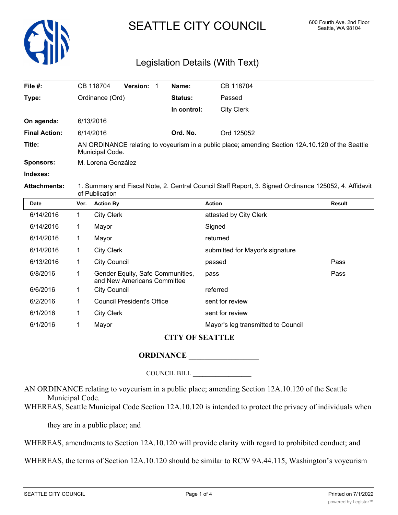

# SEATTLE CITY COUNCIL 600 Fourth Ave. 2nd Floor

# Legislation Details (With Text)

| File #:              | <b>Version:</b><br>CB 118704 | Name:          | CB 118704                                                                                        |
|----------------------|------------------------------|----------------|--------------------------------------------------------------------------------------------------|
| Type:                | Ordinance (Ord)              | <b>Status:</b> | Passed                                                                                           |
|                      |                              | In control:    | <b>City Clerk</b>                                                                                |
| On agenda:           | 6/13/2016                    |                |                                                                                                  |
| <b>Final Action:</b> | 6/14/2016                    | Ord. No.       | Ord 125052                                                                                       |
| Title:               | Municipal Code.              |                | AN ORDINANCE relating to voyeurism in a public place; amending Section 12A.10.120 of the Seattle |
| <b>Sponsors:</b>     | M. Lorena González           |                |                                                                                                  |
| Indexes:             |                              |                |                                                                                                  |
|                      |                              |                |                                                                                                  |

**Attachments:** 1. Summary and Fiscal Note, 2. Central Council Staff Report, 3. Signed Ordinance 125052, 4. Affidavit of Publication

| <b>Date</b> | Ver. | <b>Action By</b>                                                | <b>Action</b>                      | <b>Result</b> |
|-------------|------|-----------------------------------------------------------------|------------------------------------|---------------|
| 6/14/2016   | 1    | <b>City Clerk</b>                                               | attested by City Clerk             |               |
| 6/14/2016   |      | Mayor                                                           | Signed                             |               |
| 6/14/2016   | 1    | Mayor                                                           | returned                           |               |
| 6/14/2016   | 1    | <b>City Clerk</b>                                               | submitted for Mayor's signature    |               |
| 6/13/2016   |      | <b>City Council</b>                                             | passed                             | Pass          |
| 6/8/2016    |      | Gender Equity, Safe Communities,<br>and New Americans Committee | pass                               | Pass          |
| 6/6/2016    | 1    | <b>City Council</b>                                             | referred                           |               |
| 6/2/2016    |      | <b>Council President's Office</b>                               | sent for review                    |               |
| 6/1/2016    | 1    | <b>City Clerk</b>                                               | sent for review                    |               |
| 6/1/2016    |      | Mayor                                                           | Mayor's leg transmitted to Council |               |

## **CITY OF SEATTLE**

# **ORDINANCE \_\_\_\_\_\_\_\_\_\_\_\_\_\_\_\_\_\_**

COUNCIL BILL \_\_\_\_\_\_\_\_\_\_\_\_\_\_\_\_\_\_

AN ORDINANCE relating to voyeurism in a public place; amending Section 12A.10.120 of the Seattle Municipal Code.

WHEREAS, Seattle Municipal Code Section 12A.10.120 is intended to protect the privacy of individuals when

they are in a public place; and

WHEREAS, amendments to Section 12A.10.120 will provide clarity with regard to prohibited conduct; and

WHEREAS, the terms of Section 12A.10.120 should be similar to RCW 9A.44.115, Washington's voyeurism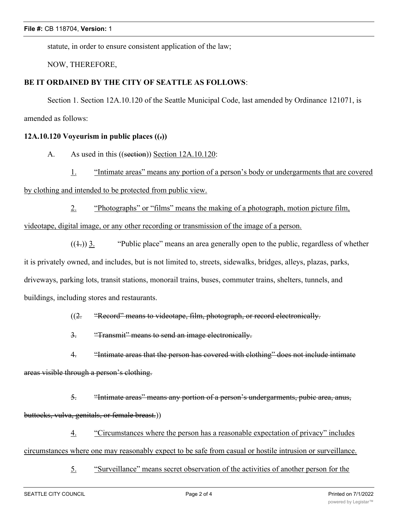statute, in order to ensure consistent application of the law;

NOW, THEREFORE,

### **BE IT ORDAINED BY THE CITY OF SEATTLE AS FOLLOWS**:

Section 1. Section 12A.10.120 of the Seattle Municipal Code, last amended by Ordinance 121071, is amended as follows:

#### **12A.10.120 Voyeurism in public places ((.))**

A. As used in this ((section)) Section 12A.10.120:

1. "Intimate areas" means any portion of a person's body or undergarments that are covered

by clothing and intended to be protected from public view.

2. "Photographs" or "films" means the making of a photograph, motion picture film,

videotape, digital image, or any other recording or transmission of the image of a person.

 $((\pm))$  3. "Public place" means an area generally open to the public, regardless of whether it is privately owned, and includes, but is not limited to, streets, sidewalks, bridges, alleys, plazas, parks, driveways, parking lots, transit stations, monorail trains, buses, commuter trains, shelters, tunnels, and buildings, including stores and restaurants.

((2. "Record" means to videotape, film, photograph, or record electronically.

3. "Transmit" means to send an image electronically.

4. "Intimate areas that the person has covered with clothing" does not include intimate areas visible through a person's clothing.

5. "Intimate areas" means any portion of a person's undergarments, pubic area, anus, buttocks, vulva, genitals, or female breast.))

4. "Circumstances where the person has a reasonable expectation of privacy" includes circumstances where one may reasonably expect to be safe from casual or hostile intrusion or surveillance.

5. "Surveillance" means secret observation of the activities of another person for the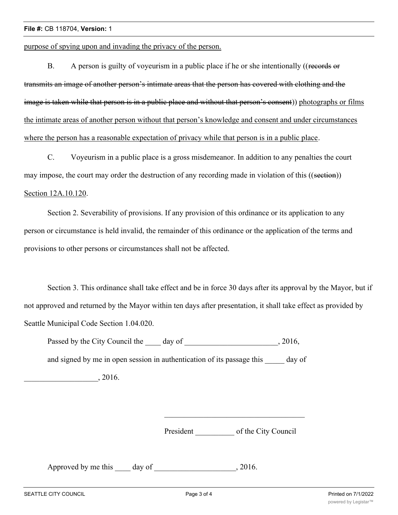purpose of spying upon and invading the privacy of the person.

B. A person is guilty of voyeurism in a public place if he or she intentionally ((records or transmits an image of another person's intimate areas that the person has covered with clothing and the image is taken while that person is in a public place and without that person's consent)) photographs or films the intimate areas of another person without that person's knowledge and consent and under circumstances where the person has a reasonable expectation of privacy while that person is in a public place.

C. Voyeurism in a public place is a gross misdemeanor. In addition to any penalties the court may impose, the court may order the destruction of any recording made in violation of this ((section)) Section 12A.10.120.

Section 2. Severability of provisions. If any provision of this ordinance or its application to any person or circumstance is held invalid, the remainder of this ordinance or the application of the terms and provisions to other persons or circumstances shall not be affected.

Section 3. This ordinance shall take effect and be in force 30 days after its approval by the Mayor, but if not approved and returned by the Mayor within ten days after presentation, it shall take effect as provided by Seattle Municipal Code Section 1.04.020.

Passed by the City Council the day of the case of the council state of the case of the case of the case of the case of the case of the case of the case of the case of the case of the case of the case of the case of the cas and signed by me in open session in authentication of its passage this day of  $, 2016.$ 

President of the City Council

Approved by me this day of the same capacity of the same capacity of  $\sim$  2016.